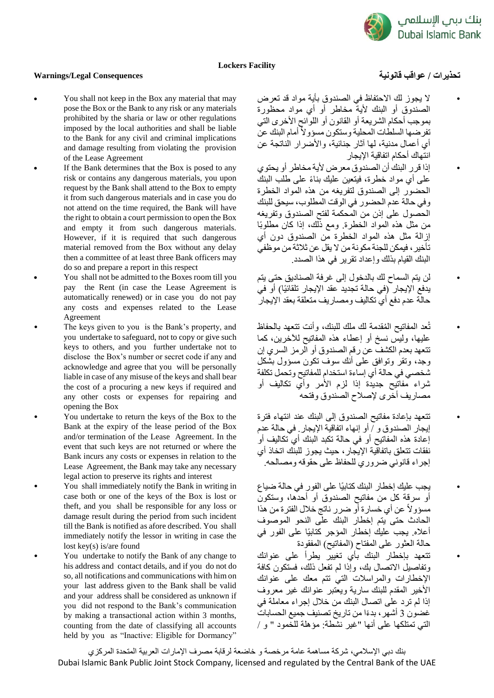

## **Lockers Facility**

## **تحذيرات / عواقب قانونية Consequences Legal/Warnings**

- You shall not keep in the Box any material that may pose the Box or the Bank to any risk or any materials prohibited by the sharia or law or other regulations imposed by the local authorities and shall be liable to the Bank for any civil and criminal implications and damage resulting from violating the provision of the Lease Agreement
	- If the Bank determines that the Box is posed to any risk or contains any dangerous materials, you upon request by the Bank shall attend to the Box to empty it from such dangerous materials and in case you do not attend on the time required, the Bank will have the right to obtain a court permission to open the Box and empty it from such dangerous materials. However, if it is required that such dangerous material removed from the Box without any delay then a committee of at least three Bank officers may do so and prepare a report in this respect
		- You shall not be admitted to the Boxes room till you pay the Rent (in case the Lease Agreement is automatically renewed) or in case you do not pay any costs and expenses related to the Lease Agreement
		- The keys given to you is the Bank's property, and you undertake to safeguard, not to copy or give such keys to others, and you further undertake not to disclose the Box's number or secret code if any and acknowledge and agree that you will be personally liable in case of any misuse of the keys and shall bear the cost of a procuring a new keys if required and any other costs or expenses for repairing and opening the Box
			- You undertake to return the keys of the Box to the Bank at the expiry of the lease period of the Box and/or termination of the Lease Agreement. In the event that such keys are not returned or where the Bank incurs any costs or expenses in relation to the Lease Agreement, the Bank may take any necessary legal action to preserve its rights and interest
			- You shall immediately notify the Bank in writing in case both or one of the keys of the Box is lost or theft, and you shall be responsible for any loss or damage result during the period from such incident till the Bank is notified as afore described. You shall immediately notify the lessor in writing in case the lost key(s) is/are found
			- You undertake to notify the Bank of any change to his address and contact details, and if you do not do so, all notifications and communications with him on your last address given to the Bank shall be valid and your address shall be considered as unknown if you did not respond to the Bank's communication by making a transactional action within 3 months, counting from the date of classifying all accounts held by you as "Inactive: Eligible for Dormancy"

• ال يجوز لك االحتفاظ في الصندوق بأية مواد قد تعرض الصندوق أو البنك ألية مخاطر أو أي مواد محظورة بموجب أحكام الشريعة أو القانون أو اللوائح األخرى التي تفرضها السلطات المحلية وستكون مسؤولاً أمام البنك عن أي أعمال مدنية، لمها آثار جنائية، والأضر ار الناتجة عن انتهاك أحكام اتفاقية اإليجار

• إذا قرر البنك أن الصندوق معرض ألية مخاطر أو يحتوي على أي مواد خطرة، فيتعين عليك بناءً على طلب البنك الحضور إلى الصندوق لتفريغه من هذه المواد الخطرة وفي حالة عدم الحضور في الوقت المطلوب، سيحق للبنك الحصول على إذن من المحكمة لفتح الصندوق وتفريغه من مثل هذه المواد الخطرة. ومع ذلك، إذا كان مطلوبًا إزالة مثل هذه المواد الخطرة من الصندوق دون أي تأخير، فيمكن للجنة مكونة من ال يقل عن ثالثة من موظفي البنك القيام بذلك وإعداد تقرير في هذا الصدد.

• لن يتم السماح لك بالدخول إلى غرفة الصناديق حتى يتم يدفع الإيجار (في حالة تجديد عقد الإيجار تلقائيًا) أو في حالة عدم دفع أي تكاليف ومصاريف متعلقة بعقد اإليجار

• تُعد المفاتيح ال ُمقدمة لك ملك للبنك، وأنت تتعهد بالحفاظ عليها، وليس نسخ أو إعطاء هذه المفاتيح لآلخرين، كما تتعهد بعدم الكشف عن رقم الصندوق أو الرمز السري إن وجد، وتقر وتوافق على أنك سوف تكون مسؤول بشكل شخصي في حالة أي إساءة استخدام للمفاتيح وتحمل تكلفة شراء مفاتيح جديدة إذا لزم األمر وأي تكاليف أو مصاريف أخرى إلصالح الصندوق وفتحه

• تتعهد بإعادة مفاتيح الصندوق إلى البنك عند انتهاء فترة إيجار الصندوق و / أو إنهاء اتفاقية اإليجار. في حالة عدم إعادة هذه المفاتيح أو في حالة تكبد البنك أي تكاليف أو .<br>نفقات تتعلق باتفاقية الإيجار، حيث يجوز للبنك اتخاذ أ*ي* إجراء قانوني ضروري للحفاظ على حقوقه ومصالحه.

• يجب عليك إخطار البنك كتابيًا على الفور في حالة ضياع أو سرقة كل من مفاتيح الصندوق أو أحدها، وستكون مسؤوالً عن أي خسارة أو ضرر ناتج خالل الفترة من هذا الحادث حتى يتم إخطار البنك على النحو الموصوف أعاله. يجب عليك إخطار المؤجر كتابيًا على الفور في حالة العثور على المفتاح (المفاتيح) المفقودة • تتعهد بإخطار البنك بأي تغيير يطرأ على عنوانك وتفاصيل االتصال بك، وإذا لم تفعل ذلك، فستكون كافة اإلخطارات والمراسالت التي تتم معك على عنوانك األخير المقدم للبنك سارية ويعتبر عنوانك غير معروف إذا لم ترد على اتصال البنك من خالل إجراء معاملة في غضون 3 أشهر، بد ًءا من تاريخ تصنيف جميع الحسابات التي تمتلكها على أنها "غير نشطة: مؤهلة للخمود " و /

بنك دبي اإلسالمي، شركة مساهمة عامة مرخصة و خاضعة لرقابة مصرف اإلمارات العربية المتحدة المركزي Dubai Islamic Bank Public Joint Stock Company, licensed and regulated by the Central Bank of the UAE